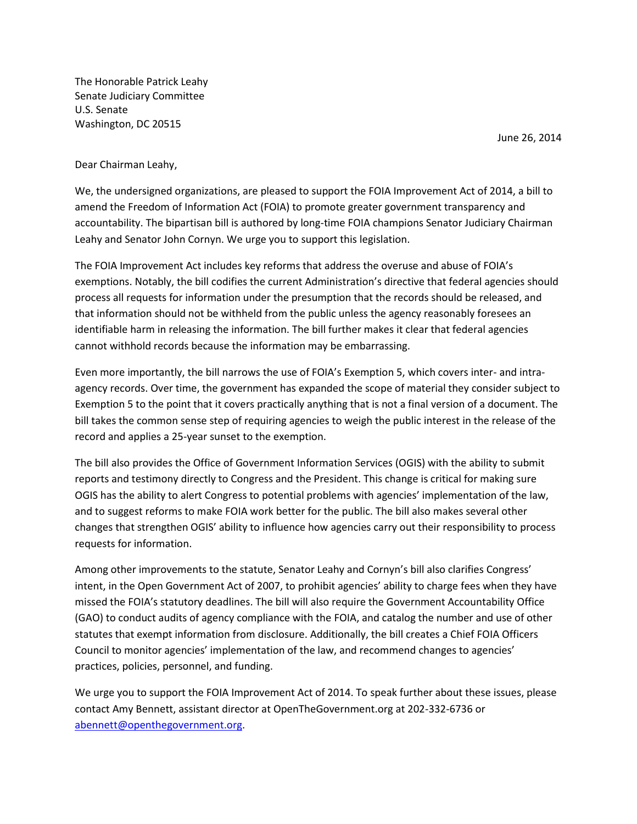The Honorable Patrick Leahy Senate Judiciary Committee U.S. Senate Washington, DC 20515

June 26, 2014

## Dear Chairman Leahy,

We, the undersigned organizations, are pleased to support the FOIA Improvement Act of 2014, a bill to amend the Freedom of Information Act (FOIA) to promote greater government transparency and accountability. The bipartisan bill is authored by long-time FOIA champions Senator Judiciary Chairman Leahy and Senator John Cornyn. We urge you to support this legislation.

The FOIA Improvement Act includes key reforms that address the overuse and abuse of FOIA's exemptions. Notably, the bill codifies the current Administration's directive that federal agencies should process all requests for information under the presumption that the records should be released, and that information should not be withheld from the public unless the agency reasonably foresees an identifiable harm in releasing the information. The bill further makes it clear that federal agencies cannot withhold records because the information may be embarrassing.

Even more importantly, the bill narrows the use of FOIA's Exemption 5, which covers inter- and intraagency records. Over time, the government has expanded the scope of material they consider subject to Exemption 5 to the point that it covers practically anything that is not a final version of a document. The bill takes the common sense step of requiring agencies to weigh the public interest in the release of the record and applies a 25-year sunset to the exemption.

The bill also provides the Office of Government Information Services (OGIS) with the ability to submit reports and testimony directly to Congress and the President. This change is critical for making sure OGIS has the ability to alert Congress to potential problems with agencies' implementation of the law, and to suggest reforms to make FOIA work better for the public. The bill also makes several other changes that strengthen OGIS' ability to influence how agencies carry out their responsibility to process requests for information.

Among other improvements to the statute, Senator Leahy and Cornyn's bill also clarifies Congress' intent, in the Open Government Act of 2007, to prohibit agencies' ability to charge fees when they have missed the FOIA's statutory deadlines. The bill will also require the Government Accountability Office (GAO) to conduct audits of agency compliance with the FOIA, and catalog the number and use of other statutes that exempt information from disclosure. Additionally, the bill creates a Chief FOIA Officers Council to monitor agencies' implementation of the law, and recommend changes to agencies' practices, policies, personnel, and funding.

We urge you to support the FOIA Improvement Act of 2014. To speak further about these issues, please contact Amy Bennett, assistant director at OpenTheGovernment.org at 202-332-6736 or [abennett@openthegovernment.org.](mailto:abennett@openthegovernment.org)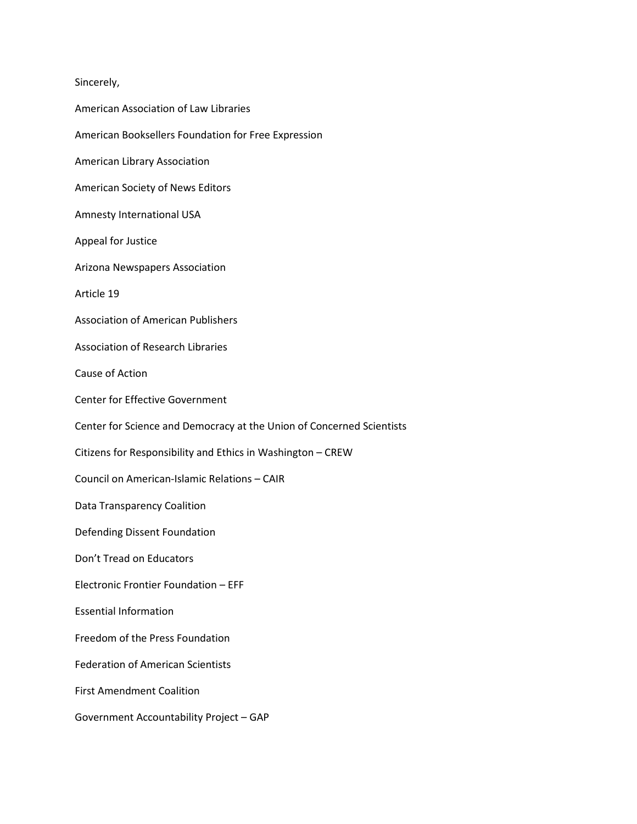## Sincerely,

American Association of Law Libraries American Booksellers Foundation for Free Expression American Library Association American Society of News Editors Amnesty International USA Appeal for Justice Arizona Newspapers Association Article 19 Association of American Publishers Association of Research Libraries Cause of Action Center for Effective Government Center for Science and Democracy at the Union of Concerned Scientists Citizens for Responsibility and Ethics in Washington – CREW Council on American-Islamic Relations – CAIR Data Transparency Coalition Defending Dissent Foundation Don't Tread on Educators Electronic Frontier Foundation – EFF Essential Information Freedom of the Press Foundation Federation of American Scientists First Amendment Coalition Government Accountability Project – GAP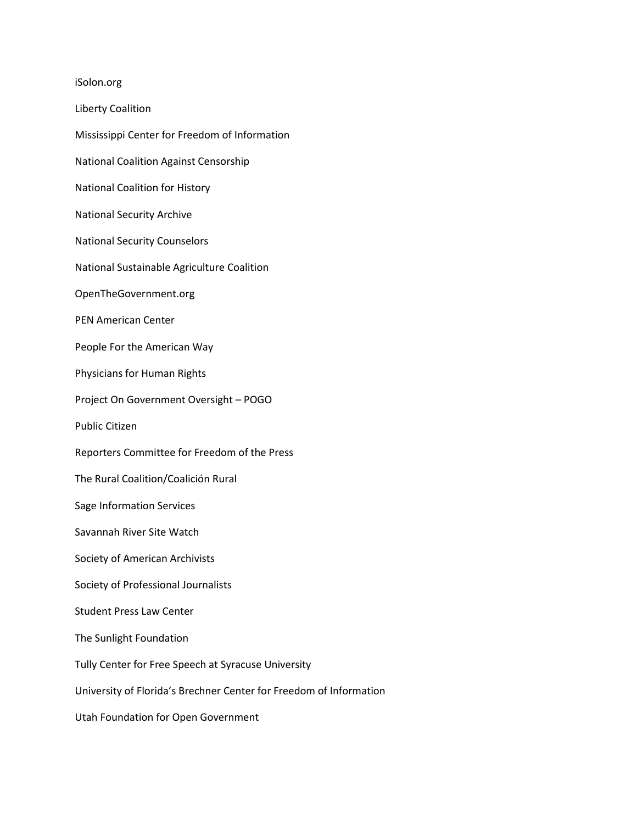iSolon.org Liberty Coalition Mississippi Center for Freedom of Information National Coalition Against Censorship National Coalition for History National Security Archive National Security Counselors National Sustainable Agriculture Coalition OpenTheGovernment.org PEN American Center People For the American Way Physicians for Human Rights Project On Government Oversight – POGO Public Citizen Reporters Committee for Freedom of the Press The Rural Coalition/Coalición Rural Sage Information Services Savannah River Site Watch Society of American Archivists Society of Professional Journalists Student Press Law Center The Sunlight Foundation Tully Center for Free Speech at Syracuse University University of Florida's Brechner Center for Freedom of Information

Utah Foundation for Open Government